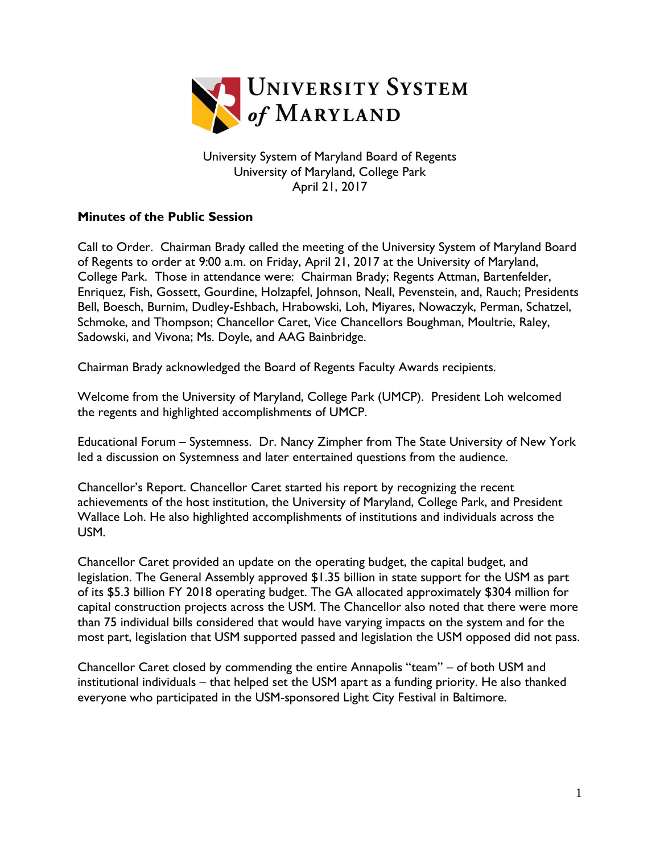

University System of Maryland Board of Regents University of Maryland, College Park April 21, 2017

## **Minutes of the Public Session**

Call to Order. Chairman Brady called the meeting of the University System of Maryland Board of Regents to order at 9:00 a.m. on Friday, April 21, 2017 at the University of Maryland, College Park. Those in attendance were: Chairman Brady; Regents Attman, Bartenfelder, Enriquez, Fish, Gossett, Gourdine, Holzapfel, Johnson, Neall, Pevenstein, and, Rauch; Presidents Bell, Boesch, Burnim, Dudley-Eshbach, Hrabowski, Loh, Miyares, Nowaczyk, Perman, Schatzel, Schmoke, and Thompson; Chancellor Caret, Vice Chancellors Boughman, Moultrie, Raley, Sadowski, and Vivona; Ms. Doyle, and AAG Bainbridge.

Chairman Brady acknowledged the Board of Regents Faculty Awards recipients.

Welcome from the University of Maryland, College Park (UMCP). President Loh welcomed the regents and highlighted accomplishments of UMCP.

Educational Forum – Systemness. Dr. Nancy Zimpher from The State University of New York led a discussion on Systemness and later entertained questions from the audience.

Chancellor's Report. Chancellor Caret started his report by recognizing the recent achievements of the host institution, the University of Maryland, College Park, and President Wallace Loh. He also highlighted accomplishments of institutions and individuals across the USM.

Chancellor Caret provided an update on the operating budget, the capital budget, and legislation. The General Assembly approved \$1.35 billion in state support for the USM as part of its \$5.3 billion FY 2018 operating budget. The GA allocated approximately \$304 million for capital construction projects across the USM. The Chancellor also noted that there were more than 75 individual bills considered that would have varying impacts on the system and for the most part, legislation that USM supported passed and legislation the USM opposed did not pass.

Chancellor Caret closed by commending the entire Annapolis "team" – of both USM and institutional individuals – that helped set the USM apart as a funding priority. He also thanked everyone who participated in the USM-sponsored Light City Festival in Baltimore.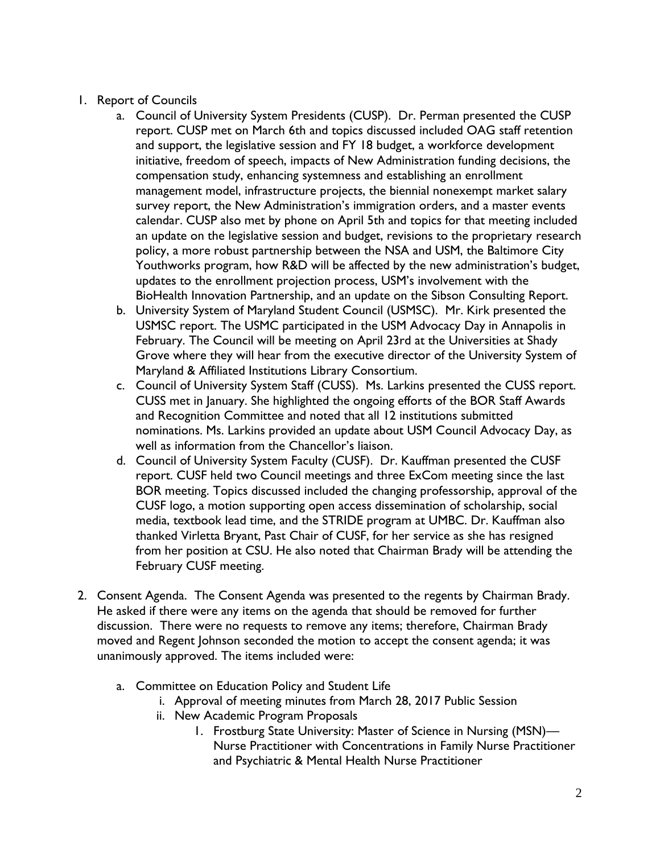- 1. Report of Councils
	- a. Council of University System Presidents (CUSP). Dr. Perman presented the CUSP report. CUSP met on March 6th and topics discussed included OAG staff retention and support, the legislative session and FY 18 budget, a workforce development initiative, freedom of speech, impacts of New Administration funding decisions, the compensation study, enhancing systemness and establishing an enrollment management model, infrastructure projects, the biennial nonexempt market salary survey report, the New Administration's immigration orders, and a master events calendar. CUSP also met by phone on April 5th and topics for that meeting included an update on the legislative session and budget, revisions to the proprietary research policy, a more robust partnership between the NSA and USM, the Baltimore City Youthworks program, how R&D will be affected by the new administration's budget, updates to the enrollment projection process, USM's involvement with the BioHealth Innovation Partnership, and an update on the Sibson Consulting Report.
	- b. University System of Maryland Student Council (USMSC). Mr. Kirk presented the USMSC report. The USMC participated in the USM Advocacy Day in Annapolis in February. The Council will be meeting on April 23rd at the Universities at Shady Grove where they will hear from the executive director of the University System of Maryland & Affiliated Institutions Library Consortium.
	- c. Council of University System Staff (CUSS). Ms. Larkins presented the CUSS report. CUSS met in January. She highlighted the ongoing efforts of the BOR Staff Awards and Recognition Committee and noted that all 12 institutions submitted nominations. Ms. Larkins provided an update about USM Council Advocacy Day, as well as information from the Chancellor's liaison.
	- d. Council of University System Faculty (CUSF). Dr. Kauffman presented the CUSF report. CUSF held two Council meetings and three ExCom meeting since the last BOR meeting. Topics discussed included the changing professorship, approval of the CUSF logo, a motion supporting open access dissemination of scholarship, social media, textbook lead time, and the STRIDE program at UMBC. Dr. Kauffman also thanked Virletta Bryant, Past Chair of CUSF, for her service as she has resigned from her position at CSU. He also noted that Chairman Brady will be attending the February CUSF meeting.
- 2. Consent Agenda. The Consent Agenda was presented to the regents by Chairman Brady. He asked if there were any items on the agenda that should be removed for further discussion. There were no requests to remove any items; therefore, Chairman Brady moved and Regent Johnson seconded the motion to accept the consent agenda; it was unanimously approved. The items included were:
	- a. Committee on Education Policy and Student Life
		- i. Approval of meeting minutes from March 28, 2017 Public Session
		- ii. New Academic Program Proposals
			- 1. Frostburg State University: Master of Science in Nursing (MSN)— Nurse Practitioner with Concentrations in Family Nurse Practitioner and Psychiatric & Mental Health Nurse Practitioner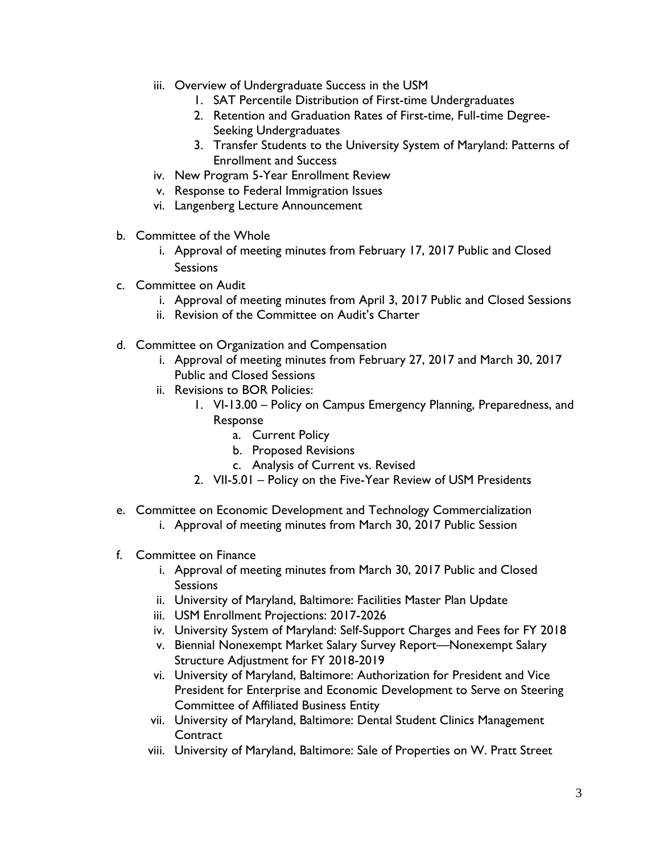- iii. Overview of Undergraduate Success in the USM
	- 1. SAT Percentile Distribution of First-time Undergraduates
	- 2. Retention and Graduation Rates of First-time, Full-time Degree-Seeking Undergraduates
	- 3. Transfer Students to the University System of Maryland: Patterns of Enrollment and Success
- iv. New Program 5-Year Enrollment Review
- v. Response to Federal Immigration Issues
- vi. Langenberg Lecture Announcement
- b. Committee of the Whole
	- i. Approval of meeting minutes from February 17, 2017 Public and Closed **Sessions**
- c. Committee on Audit
	- i. Approval of meeting minutes from April 3, 2017 Public and Closed Sessions
	- ii. Revision of the Committee on Audit's Charter
- d. Committee on Organization and Compensation
	- i. Approval of meeting minutes from February 27, 2017 and March 30, 2017 Public and Closed Sessions
	- ii. Revisions to BOR Policies:
		- 1. VI-13.00 Policy on Campus Emergency Planning, Preparedness, and Response
			- a. Current Policy
			- b. Proposed Revisions
			- c. Analysis of Current vs. Revised
		- 2. VII-5.01 Policy on the Five-Year Review of USM Presidents
- e. Committee on Economic Development and Technology Commercialization
	- i. Approval of meeting minutes from March 30, 2017 Public Session
- f. Committee on Finance
	- i. Approval of meeting minutes from March 30, 2017 Public and Closed **Sessions**
	- ii. University of Maryland, Baltimore: Facilities Master Plan Update
	- iii. USM Enrollment Projections: 2017-2026
	- iv. University System of Maryland: Self-Support Charges and Fees for FY 2018
	- v. Biennial Nonexempt Market Salary Survey Report—Nonexempt Salary Structure Adjustment for FY 2018-2019
	- vi. University of Maryland, Baltimore: Authorization for President and Vice President for Enterprise and Economic Development to Serve on Steering Committee of Affiliated Business Entity
	- vii. University of Maryland, Baltimore: Dental Student Clinics Management **Contract**
	- viii. University of Maryland, Baltimore: Sale of Properties on W. Pratt Street